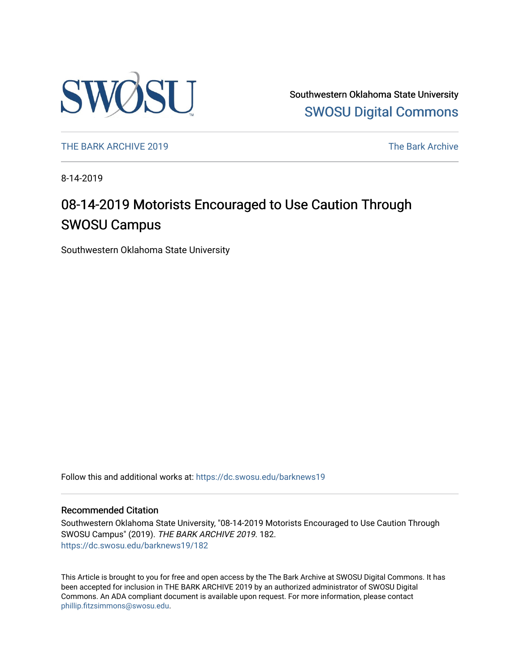

Southwestern Oklahoma State University [SWOSU Digital Commons](https://dc.swosu.edu/) 

[THE BARK ARCHIVE 2019](https://dc.swosu.edu/barknews19) The Bark Archive

8-14-2019

### 08-14-2019 Motorists Encouraged to Use Caution Through SWOSU Campus

Southwestern Oklahoma State University

Follow this and additional works at: [https://dc.swosu.edu/barknews19](https://dc.swosu.edu/barknews19?utm_source=dc.swosu.edu%2Fbarknews19%2F182&utm_medium=PDF&utm_campaign=PDFCoverPages)

#### Recommended Citation

Southwestern Oklahoma State University, "08-14-2019 Motorists Encouraged to Use Caution Through SWOSU Campus" (2019). THE BARK ARCHIVE 2019. 182. [https://dc.swosu.edu/barknews19/182](https://dc.swosu.edu/barknews19/182?utm_source=dc.swosu.edu%2Fbarknews19%2F182&utm_medium=PDF&utm_campaign=PDFCoverPages)

This Article is brought to you for free and open access by the The Bark Archive at SWOSU Digital Commons. It has been accepted for inclusion in THE BARK ARCHIVE 2019 by an authorized administrator of SWOSU Digital Commons. An ADA compliant document is available upon request. For more information, please contact [phillip.fitzsimmons@swosu.edu](mailto:phillip.fitzsimmons@swosu.edu).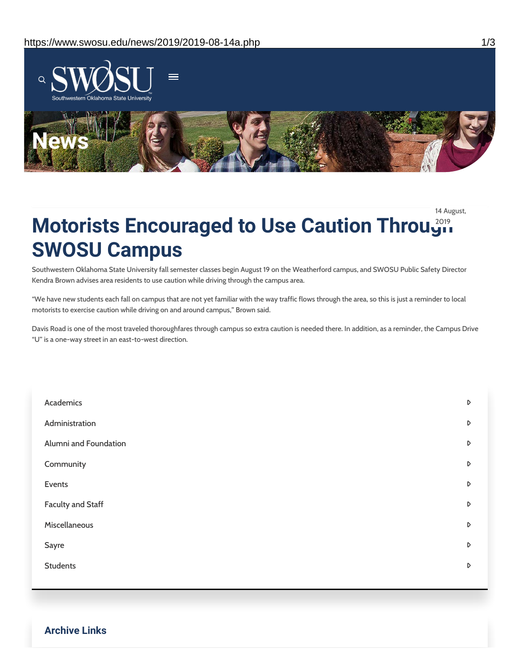

14 August,

## **Motorists Encouraged to Use Caution Through SWOSU Campus**

Southwestern Oklahoma State University fall semester classes begin August 19 on the Weatherford campus, and SWOSU Public Safety Director Kendra Brown advises area residents to use caution while driving through the campus area.

"We have new students each fall on campus that are not yet familiar with the way traffic flows through the area, so this is just a reminder to local motorists to exercise caution while driving on and around campus," Brown said.

Davis Road is one of the most traveled thoroughfares through campus so extra caution is needed there. In addition, as a reminder, the Campus Drive "U" is a one-way street in an east-to-west direction.

| Academics             | $\triangleright$ |
|-----------------------|------------------|
| Administration        | D                |
| Alumni and Foundation | $\mathsf D$      |
| Community             | D                |
| Events                | D                |
| Faculty and Staff     | D                |
| Miscellaneous         | $\mathsf D$      |
| Sayre                 | D                |
| <b>Students</b>       | $\triangleright$ |
|                       |                  |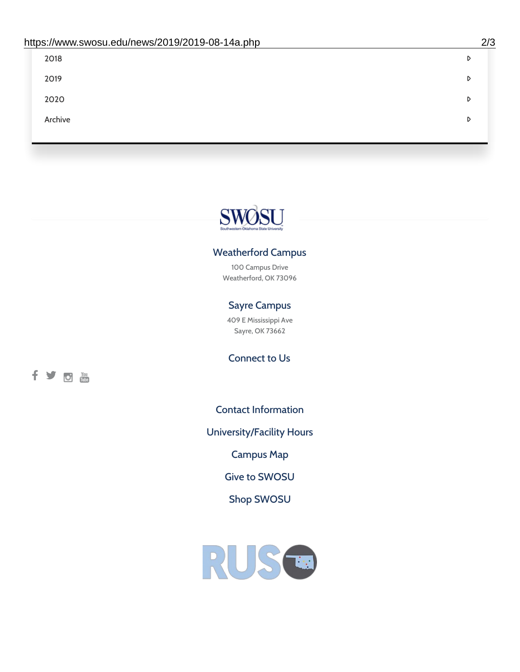| 2018    | D |
|---------|---|
| 2019    | D |
| 2020    | D |
| Archive | D |
|         |   |

# SWØSU

### Weatherford Campus

100 Campus Drive Weatherford, OK 73096

### Sayre Campus

409 E Mississippi Ave Sayre, OK 73662

fyom

Connect to Us

Contact [Information](https://www.swosu.edu/about/contact.php)

[University/Facility](https://www.swosu.edu/about/operating-hours.php) Hours

[Campus](https://map.concept3d.com/?id=768#!ct/10964,10214,10213,10212,10205,10204,10203,10202,10136,10129,10128,0,31226,10130,10201,10641,0) Map

Give to [SWOSU](https://standingfirmly.com/donate)

Shop [SWOSU](https://shopswosu.merchorders.com/)